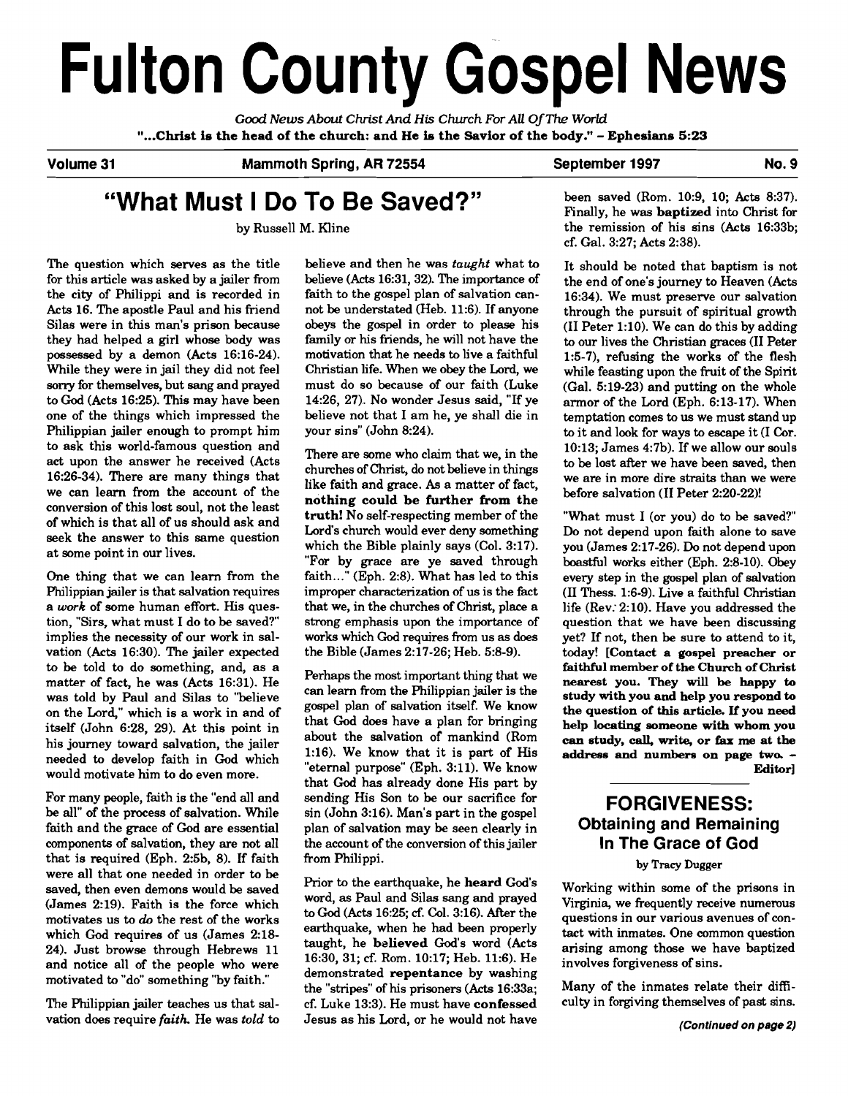# Fulton County Gospel News

**Good** *News About Christ And* **His** *Church For All* **Of** *The World*  **"...Christ is the head of the church: and He is the Savior of the body."** - **Ephesians 5:23** 

**Volume 31 Mammoth Spring, AR 72554 September 1997 No. 9** 

## **"What Must I Do To Be Saved?"**

by Russell M. Kline

The question which serves as the title for this article was asked by a jailer from the city of Philippi and is recorded in Acts 16. The apostle Paul and his friend Silas were in this man's prison because they had helped a girl whose body was possessed by a demon (Acts 16:16-24). While they were in jail they did not feel sorry for themselves, but sang and prayed to God (Acts 16:25). This may have been one of the things which impressed the Philippian jailer enough to prompt him to ask this world-famous question and act upon the answer he received (Acts 16:26-34). There are many things that we can learn from the account of the conversion of this lost soul, not the least of which is that all of us should ask and seek the answer to this same question at some point in our lives.

One thing that we can learn from the Philippian jailer is that salvation requires a **work** of some human effort. His question, "Sirs, what must I do to be saved?" implies the necessity of our work in salvation (Acts 16:30). The jailer expected to be told to do something, and, as a matter of fact, he was (Acts 16:31). He was told by Paul and Silas to ''believe on the Lord," which is a work in and of itself (John 6:28, 29). At this point in his journey toward salvation, the jailer needed to develop faith in God which would motivate him to do even more.

For many people, faith is the "end all and be all" of the process of salvation. While sin (John 3:16). Man's part in the gospel faith and the grace of God are essential plan of salvation may be seen clearly in components of salvation, they are not all the account of the conversion of this jailer that is required (Eph. 2:5b, 8). If faith from Philippi. were all that one needed in order to be saved, then even demons would **be** saved (James 2:19). Faith is the force which motivates us to **do** the rest of the works which God requires of us (James 2:18- 24). Just browse through Hebrews 11 and notice all of the people who were motivated to "do" something "by faith."

believe and then he was taught what to believe (Acts 16:31,32). The importance of faith to the gospel plan of salvation cannot be understated (Heb. 11:6). If anyone obeys the gospel in order **to** please his family or his friends, he will not have the motivation that he needs to live a faithful Christian life. When we obey the Lord, we must do so because of our faith (Luke 14:26, 27). No wonder Jesus said, "If ye believe not that I am he, ye shall die in your sins" (John 8:24).

There are some who claim that we, in the chumhes of Christ, do not believe in things like faith and grace. As a matter of fact, nothing could be further from the **truth!** No self-respecting member of the Lord's church would ever deny something which the Bible plainly says (Col. 3:17). "For by grace are ye saved through faith..." (Eph. 2:8). What has led to this improper characterization of us is the fact that we, in the churches of Christ, place a strong emphasis upon the importance of works which **God** requires from us as does the Bible (James 2:17-26; Heb. 5:8-9).

Perhaps the most important thing that we can learn from the Philippian jailer is the gospel plan of salvation itself. We know that God does have a plan for bringing about the salvation of mankind (Rom 1:16). We know that it is part of His "eternal purpose" (Eph. 3:11). We know that God has already done His part by plan of salvation may be seen clearly in

Prior to the earthquake, he **heard** God's word, as Paul and Silas sang and prayed to God (Acts 16:25; **cf.** Col. 3:16). After the earthquake, when he had been properly taught, he **believed** God's word (Acts 16:30, 31; cf. Rom. 10:17; Heb. 11:6). He demonstrated **repentance** by washing the "stripes" of his prisoners (Acts 16:33a; The Philippian jailer teaches us that sal- cf. Luke 13:3). He must have **confessed** culty in forgiving themselves of past sins. vation does require *faith*. He was *told* to Jesus as his Lord, or he would not have **(Continued on page 2)** 

been saved (Rom. 10:9, 10; Acts 8:37). Finally, he was **baptized** into Christ for the remission of his sins (Acts 16:33b; cf. Gal. 3:27; Acts 2:38).

It should be noted that baptism is not the end of one's journey to Heaven (Acts 16:34). We must preserve our salvation through the pursuit of spiritual growth (I1 Peter 1:lO). We can do this by adding to our lives the Christian graces (I1 Peter 1:5-7), refusing the works of the flesh while feasting upon the fruit of the Spirit (Gal. 5:19-23) and putting on the whole armor of the Lord (Eph. 6:13-17). When temptation comes to us we must stand up to it and look for ways to escape it (I Cor. 10:13: James 4:7b). If we allow our souls to be lost after we have been saved, then we are in more dire straits than we were before salvation (I1 Peter 2:20-22)!

"What must I (or you) do to be saved?" Do not depend upon faith alone to save you (James 2:17-26). **Do** not depend upon boastful works either (Eph. 2:8-10). Obey every step in the gospel plan of salvation (I1 Thess. 1:6-9). Live a faithful Christian life (Rev: 2:lO). Have vou addressed the question that we have been discussing yet? If not, then be sure to attend to it, today! **[Contact a gospel preacher or faithful member of the Church of Christ nearest you. They will be happy to study with you and help you respond to the question of this article. If you need help locating someone with whom you can study, call, write, or fax me at the address and numbera on page two.** - **Editor]** 

## **FORGIVENESS: Obtaining and Remaining In The Grace of God**

#### **by Tracy** Dugger

Working within some of the prisons in Virginia, we frequently receive numerous questions in our various avenues of contact with inmates. One common question arising among those we have baptized involves forgiveness of sins.

Many of the inmates relate their difi-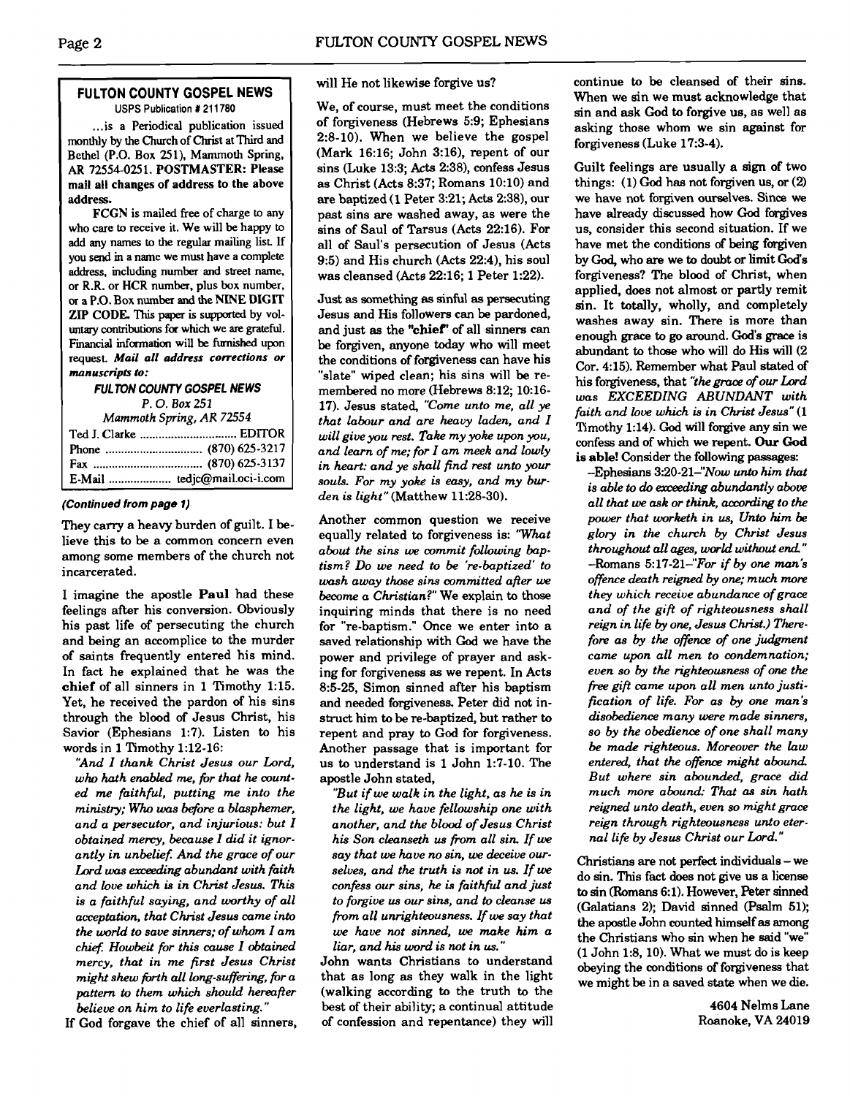#### **FULTON COUNTY GOSPEL NEWS**  USPS Publication # 21 1780

... is a Periodical publication issued monthly by the Church of Christ at Third and Bethel (P.O. Box 251), Mammoth Spring, AR 72554-025 1. POSTMASTER: Please mail all changes of address to the above address.

FCGN is mailed free of charge to any who care to receive it. We will be happy to add any names to the regular mailing list If you **send m** a name we must have a complete address, including number and street name, or R.R. or HCR number, plus box number. or a P.O. Box number and the NINE DIGlT ZIP CODE. This paper is supported by voluntary contributions for which we are grateful. **Financial** information will be furnished upon request. **Mail a11 address corrections or manuscripts** &:

**FULTON COUNTY GOSPEL NEWS** 

**P.** 0. **Box 251** 

| Mammoth Spring, AR 72554 |                              |
|--------------------------|------------------------------|
|                          |                              |
|                          |                              |
|                          |                              |
|                          | E-Mail  tedjc@mail.oci-i.com |

#### **(Continued from page 1)**

They carry a heavy burden of guilt. I believe this to be a common concern even among some members of the church not incarcerated.

I imagine the apostle **Paul** had these feelings after his conversion. Obviously his past life of persecuting the church and being an accomplice to the murder of saints frequently entered his mind. In fact he explained that he was the **chief** of all sinners in 1 Timothy 1:15. Yet, he received the pardon of his sins through the blood of Jesus Christ, his Savior (Ephesians 1:7). Listen to his words in 1 Timothy 1:12-16:

*'And I thank Christ Jesus our Lord, who hath enabled me, fir that he counted me faithful, putting me into the ministry; Who was before a blasphemer, and a persecutor, and injurious: but I obtained memy, because I did it ignor*antly in unbelief. And the grace of our Lord was exceeding abundant with faith *and love which is in Christ Jesus. This is a faithful saying, and worthy of a11 acceptntion, that Christ Jesus came into the world to save sinners; of whom I am chief. Howbeit for this cause I obtained mercy, that in me first Jesus Christ might shew jbrth all long-suffen'ng, fir a pattern to them which should hereafter believe on him to life everlasting."* 

If God forgave the chief of all sinners,

#### will He not likewise forgive us?

We, of course, must meet the conditions of forgiveness (Hebrews 5:9; Ephesians 2:8-10). When we believe the gospel (Mark 16:16; John 3:16), repent of our sins (Luke 13:3; Acts 2:38), confess Jesus as Christ (Acts 8:37; Romans 10:lO) and are baptized (1 Peter 3:21; Acts 2:38), our past sins are washed away, as were the sins of Saul of Tarsus (Acts 22:16). For all of Saul's persecution of Jesus (Acts 9:5) and His church (Acts 22:4), his soul was cleansed (Acts 22:16; 1 Peter 1:22).

Just **as** something as sinful **as** persecuting Jesus and His followers can be pardoned, and just **as** the **"chief'** of all sinners can be forgiven, anyone today who will meet the conditions of forgiveness can have his "slate" wiped clean; his sins will be remembered no more (Hebrews 8:12; 10:16- 17). Jesus stated, *"Come unto me, all ye that labour and are heavy laden, and I will give you rest. Take my yoke upon you, and learn of me; for I am meek and lowly in heart: and ye shall find rest unto your souls.* For *my yoke is easy, and my bwden* is *light"* (Matthew 11:28-30).

Another common question we receive equally related to forgiveness is: *'What about the sins we commit following baptism? Do we need to be 're-baptized' to wash away those sins committed after we become a Christian?"* We explain to those inquiring minds that there is no need for "re-baptism." Once we enter into a saved relationship with God we have the power and privilege of prayer and asking for forgiveness **as** we repent. In Acts 8:5-25, Simon sinned after his baptism and needed forgiveness. Peter did not instruct him to be re-baptized, but rather to repent and pray to God for forgiveness. Another passage that is important for us to understand is 1 John 1:7-10. The apostle John stated,

*"But if we wdk in the light, as he is in the light, we have fellowship one with another, and the blood of Jesus Christ his Son cleanseth us from all sin. If we* say that we have no sin, we deceive our*selves, and the truth is not in us. If we confess our sins, he* **is** *faithfd and just to forgive us our sins, and to cleanse us +m all unrighteousness. If* **we** *say that we have not sinned, we make him a liar, and his word is not in us."* 

John wants Christians to understand that as long as they walk in the light (walking according to the truth to the best of their ability; a continual attitude of confession and repentance) they will continue to be cleansed of their sins. When we sin we must acknowledge that sin and ask God to forgive us, as well as asking those whom we sin against for forgiveness (Luke 17:3-4).

Guilt feelings are usually a sign of two things: (1) God has not forgiven us, or (2) we have not forgiven ourselves. Since we have already discussed how God forgives us, consider this second situation. If we have met the conditions of being forgiven by **God,** who are we to doubt or limit God's forgiveness? The blood of Christ, when applied, does not almost or partly remit sin. It totally, wholly, and completely washes away sin. There is more than enough grace to **go** around. God's grace is abundant to those who will do His will (2 Cor. 4:15). Remember what Paul stated of his forgiveness, that *"thegraae of ow Lord was EXCEEDING ABUNDANT with faith and love which is in Christ Jesus"* (1 Timothy 1:14). **God** will forgive any sin we confess and of which we repent. **Our** God is **able!** Consider the following passages:

-Ephesians 3:20-21-"Now *unto him that is able to do axweding abundantly above a11 that we ask or think, according to the power that worketh in us, Unto him be glory in the chumh by Christ Jesus throughout all* **ages,** *world without end."*   $-$ Romans 5:17-21 $-$ "For if by one man's *offence death reigned by one; much* **more**  *they which receive abundance of grace and of the gift of righteousness shall reign in life by one, Jesus Christ.) Therefore as by the offence of one judgment came upon all men to condemnation; even so- by the righteousness of one the free gift came upon all men unto justifiation of life. For as by one man\$ disobedience many were made sinners, so by the obedience of one shall many be made righteous. Moreover the law*  entered, that the offence might abound. *But where sin abounded, grace did much more abound: That as sin hath reigned unto death, even so might grace reign through righteousness unto eternal life by Jesus Christ our Lord."* 

Christians are not perfect individuals - we do sin. This fact does not give us a license to sin (Romans **6:l).** However, Peter sinned (Galatians 2); David sinned (Psalm 51); the apostle John counted himself **as** among the Christians who sin when he said "we" (1 John 1:8, 10). What we must do is keep obeying the conditions of forgiveness that we might be in a saved state when we die.

> 4604 Nelms Lane Roanoke, VA 24019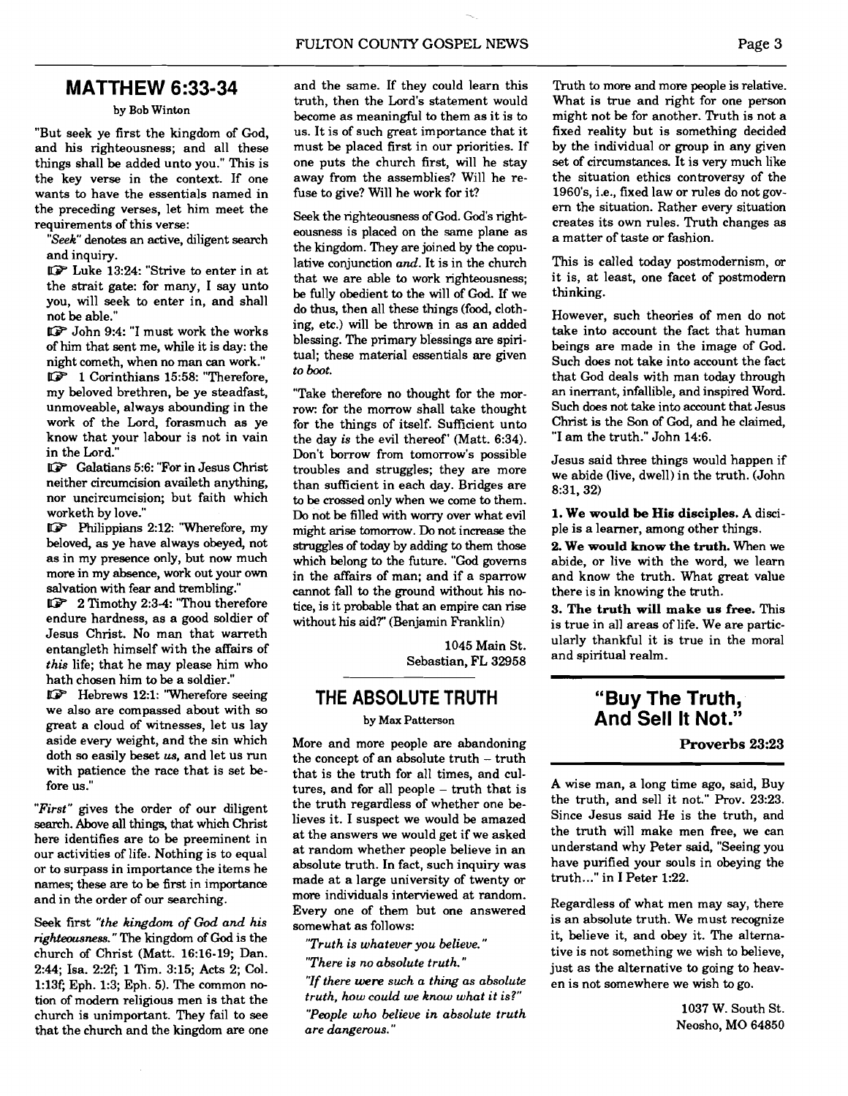## **MATTHEW 6:33-34**

#### by Bob Winton

"But seek ye first the kingdom of God, and his righteousness; and all these things shall be added unto you." This is the key verse in the context. If one wants to have the essentials named in the preceding verses, let him meet the requirements of this verse:

"Seek" denotes an active, diligent search and inquiry.

UP Luke 13:24: "Strive to enter in at the strait gate: for many, I say unto you, will seek to enter in, and shall not be able."

UP John 9:4: "I must work the works of him that sent me, while it is day: the night cometh, when no man can work."

UP 1 Corinthians 15:58: "Therefore, my beloved brethren, be ye steadfast, unmoveable, always abounding in the work of the Lord, forasmuch as ye know that your labour is not in vain in the Lord."

**UP** Galatians 5:6: "For in Jesus Christ neither circumcision availeth anything, nor uncircumcision; but faith which worketh by love."

UP Philippians 2:12: "Wherefore, my beloved, as ye have always obeyed, not as in my presence only, but now much more in my absence, work out your own salvation with fear and trembling."

UP 2 Timothy 2:3-4: "Thou therefore endure hardness, as a good soldier of Jesus Christ. No man that warreth entangleth himself with the affairs of this life; that he may please him who hath chosen him to be a soldier."

UP Hebrews 12:l: 'Wherefore seeing we also are compassed about with so great a cloud of witnesses, let us lay aside every weight, and the sin which doth so easily beset **us,** and let us run with patience the race that is set before us."

"First" gives the order of our diligent search. Above all things, that which Christ here identifies are to be preeminent in our activities of life. Nothing is to equal or to surpass in importance the items he names; these are to be first in importance and in the order of our searching.

Seek first "the kingdom of **God** and his righteousness." The kingdom of God is the church of Christ (Matt. 16:16-19; Dan. 2:44; Isa. 2:2f; 1 Tim. 3:15; Acts 2; Col. 1:13c Eph. 1:3; Eph. 5). The common notion of modem religious men is that the church is unimportant. They fail to see that the church and the kingdom are one and the same. If they could learn this truth, then the Lord's statement would become as meaningful to them as it is to us. It is of such great importance that it must be placed first in our priorities. If one puts the church first, will he stay away from the assemblies? Will he refuse to give? Will he work for it?

Seek the righteousness of God. God's righteousness is placed on the same plane as the kingdom. They are joined by the copulative conjunction and. It is in the church that we are able to work righteousness; be fully obedient to the will of God. If we do thus, then all these things (food, clothing, etc.) will be thrown in **as** an added blessing. The primary blessings are spiritual; these material essentials are given to boot.

"Take therefore no thought for the morrow: for the morrow shall take thought for the things of itself. Sufficient unto the day is the evil thereof' (Matt. 6:34). Don't borrow from tomorrow's possible troubles and struggles; they are more than suficient in each day. Bridges are to be crossed only when we come to them. Do not be filled with worry over what evil might arise tomorrow. Do not increase the struggles of today by adding to them those which belong to the future. "God governs in the affairs of man; and if a sparrow cannot fall to the ground without his notice, is it probable that an empire can rise without his aid?" (Benjamin Franklin)

> 1045 Main St. Sebastian, FL 32958

### **THE ABSOLUTETRUTH**

#### by Max Patterson

More and more people are abandoning the concept of an absolute truth - truth that is the truth for all times, and cultures, and for all people - truth that is the truth regardless of whether one believes it. I suspect we would be amazed at the answers we would get if we asked at random whether people believe in an absolute truth. In fact, such inquiry was made at a large university of twenty or more individuals interviewed at random. Every one of them but one answered somewhat as follows:

"Truth is whatever you believe. "

"There is no absolute truth. "

"If there were such a thing as absolute truth, how could we know what it is?" "People who believe in absolute truth are dangerous."

Truth to more and more people is relative. What is true and right for one person might not be for another. Truth is not a fixed reality but is something decided by the individual or group in any given set of circumstances. It is very much like the situation ethics controversy of the 1960's, i.e., fixed law or rules do not govern the situation. Rather every situation creates its own rules. Truth changes **as**  a matter of taste or fashion.

This is called today postmodernism, or it is, at least, one facet of postmodern thinking.

However, such theories of men do not take into account the fact that human beings are made in the image of God. Such does not take into account the fact that God deals with man today through an inerrant, infallible, and inspired Word. Such does not take into account that Jesus Christ is the Son of God, and he claimed, "I am the truth." John 14:6.

Jesus said three things would happen if we abide (live, dwell) in the truth. (John 8:31,32)

**1. We would be His disciples. A** disciple is a learner, among other things.

2. **We would know the truth.** When we abide, or live with the word, we learn and know the truth. What great value there is in knowing the truth.

3. **The truth will make us free.** This is true in all areas of life. We are particularly thankful it is true in the moral and spiritual realm.

## **"Buy The Truth, And Sell It Not."**

**Proverbs 23:23** 

A wise man, a long time ago, said, Buy the truth, and sell it not." Prov. 23:23. Since Jesus said He is the truth, and the truth will make men free, we can understand why Peter said, "Seeing you have purified your souls in obeying the truth ..." in I Peter 1:22.

Regardless of what men may say, there is an absolute truth. We must recognize it, believe it, and obey it. The alternative is not something we wish to believe, just as the alternative to going to heaven is not somewhere we wish to go.

> 1037 W. South St. Neosho, MO 64850